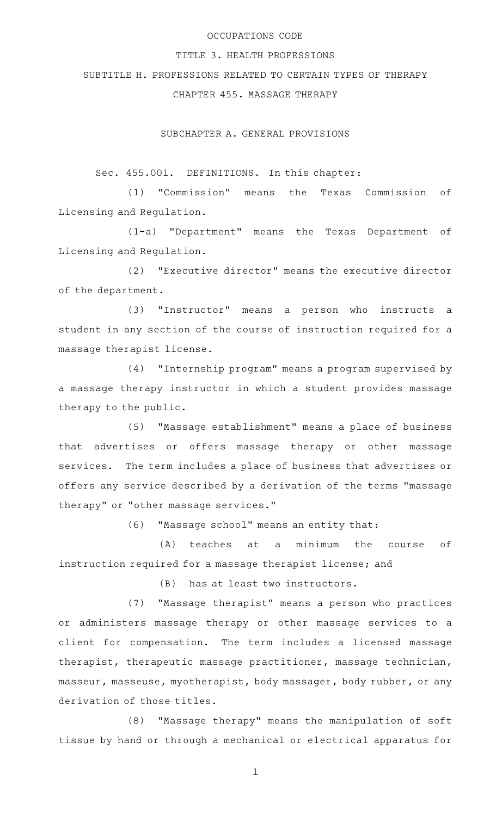#### OCCUPATIONS CODE

#### TITLE 3. HEALTH PROFESSIONS

#### SUBTITLE H. PROFESSIONS RELATED TO CERTAIN TYPES OF THERAPY

# CHAPTER 455. MASSAGE THERAPY

SUBCHAPTER A. GENERAL PROVISIONS

Sec. 455.001. DEFINITIONS. In this chapter:

(1) "Commission" means the Texas Commission of Licensing and Regulation.

(1-a) "Department" means the Texas Department of Licensing and Regulation.

(2) "Executive director" means the executive director of the department.

(3) "Instructor" means a person who instructs a student in any section of the course of instruction required for a massage therapist license.

(4) "Internship program" means a program supervised by a massage therapy instructor in which a student provides massage therapy to the public.

(5) "Massage establishment" means a place of business that advertises or offers massage therapy or other massage services. The term includes a place of business that advertises or offers any service described by a derivation of the terms "massage therapy" or "other massage services."

(6) "Massage school" means an entity that:

(A) teaches at a minimum the course of instruction required for a massage therapist license; and

(B) has at least two instructors.

(7) "Massage therapist" means a person who practices or administers massage therapy or other massage services to a client for compensation. The term includes a licensed massage therapist, therapeutic massage practitioner, massage technician, masseur, masseuse, myotherapist, body massager, body rubber, or any derivation of those titles.

(8) "Massage therapy" means the manipulation of soft tissue by hand or through a mechanical or electrical apparatus for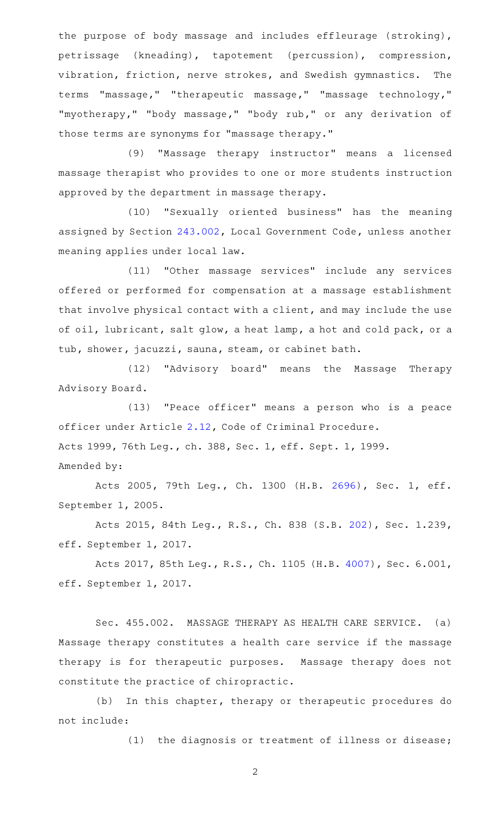the purpose of body massage and includes effleurage (stroking), petrissage (kneading), tapotement (percussion), compression, vibration, friction, nerve strokes, and Swedish gymnastics. The terms "massage," "therapeutic massage," "massage technology," "myotherapy," "body massage," "body rub," or any derivation of those terms are synonyms for "massage therapy."

(9) "Massage therapy instructor" means a licensed massage therapist who provides to one or more students instruction approved by the department in massage therapy.

(10) "Sexually oriented business" has the meaning assigned by Section [243.002](http://www.statutes.legis.state.tx.us/GetStatute.aspx?Code=LG&Value=243.002), Local Government Code, unless another meaning applies under local law.

(11) "Other massage services" include any services offered or performed for compensation at a massage establishment that involve physical contact with a client, and may include the use of oil, lubricant, salt glow, a heat lamp, a hot and cold pack, or a tub, shower, jacuzzi, sauna, steam, or cabinet bath.

(12) "Advisory board" means the Massage Therapy Advisory Board.

(13) "Peace officer" means a person who is a peace officer under Article [2.12,](http://www.statutes.legis.state.tx.us/GetStatute.aspx?Code=CR&Value=2.12) Code of Criminal Procedure. Acts 1999, 76th Leg., ch. 388, Sec. 1, eff. Sept. 1, 1999. Amended by:

Acts 2005, 79th Leg., Ch. 1300 (H.B. [2696](http://www.legis.state.tx.us/tlodocs/79R/billtext/html/HB02696F.HTM)), Sec. 1, eff. September 1, 2005.

Acts 2015, 84th Leg., R.S., Ch. 838 (S.B. [202](http://www.legis.state.tx.us/tlodocs/84R/billtext/html/SB00202F.HTM)), Sec. 1.239, eff. September 1, 2017.

Acts 2017, 85th Leg., R.S., Ch. 1105 (H.B. [4007](http://www.legis.state.tx.us/tlodocs/85R/billtext/html/HB04007F.HTM)), Sec. 6.001, eff. September 1, 2017.

Sec. 455.002. MASSAGE THERAPY AS HEALTH CARE SERVICE. (a) Massage therapy constitutes a health care service if the massage therapy is for therapeutic purposes. Massage therapy does not constitute the practice of chiropractic.

(b) In this chapter, therapy or therapeutic procedures do not include:

(1) the diagnosis or treatment of illness or disease;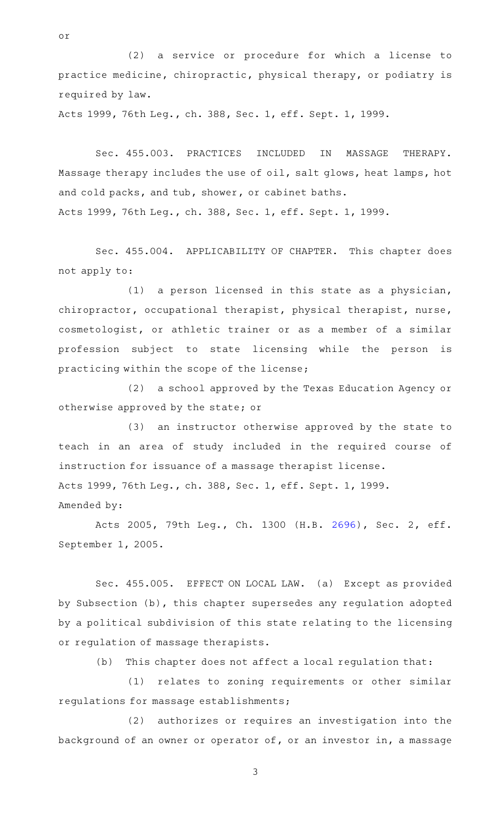(2) a service or procedure for which a license to practice medicine, chiropractic, physical therapy, or podiatry is required by law.

Acts 1999, 76th Leg., ch. 388, Sec. 1, eff. Sept. 1, 1999.

or

Sec. 455.003. PRACTICES INCLUDED IN MASSAGE THERAPY. Massage therapy includes the use of oil, salt glows, heat lamps, hot and cold packs, and tub, shower, or cabinet baths. Acts 1999, 76th Leg., ch. 388, Sec. 1, eff. Sept. 1, 1999.

Sec. 455.004. APPLICABILITY OF CHAPTER. This chapter does not apply to:

 $(1)$  a person licensed in this state as a physician, chiropractor, occupational therapist, physical therapist, nurse, cosmetologist, or athletic trainer or as a member of a similar profession subject to state licensing while the person is practicing within the scope of the license;

(2) a school approved by the Texas Education Agency or otherwise approved by the state; or

(3) an instructor otherwise approved by the state to teach in an area of study included in the required course of instruction for issuance of a massage therapist license. Acts 1999, 76th Leg., ch. 388, Sec. 1, eff. Sept. 1, 1999. Amended by:

Acts 2005, 79th Leg., Ch. 1300 (H.B. [2696](http://www.legis.state.tx.us/tlodocs/79R/billtext/html/HB02696F.HTM)), Sec. 2, eff. September 1, 2005.

Sec. 455.005. EFFECT ON LOCAL LAW. (a) Except as provided by Subsection (b), this chapter supersedes any regulation adopted by a political subdivision of this state relating to the licensing or regulation of massage therapists.

(b) This chapter does not affect a local regulation that:

(1) relates to zoning requirements or other similar regulations for massage establishments;

(2) authorizes or requires an investigation into the background of an owner or operator of, or an investor in, a massage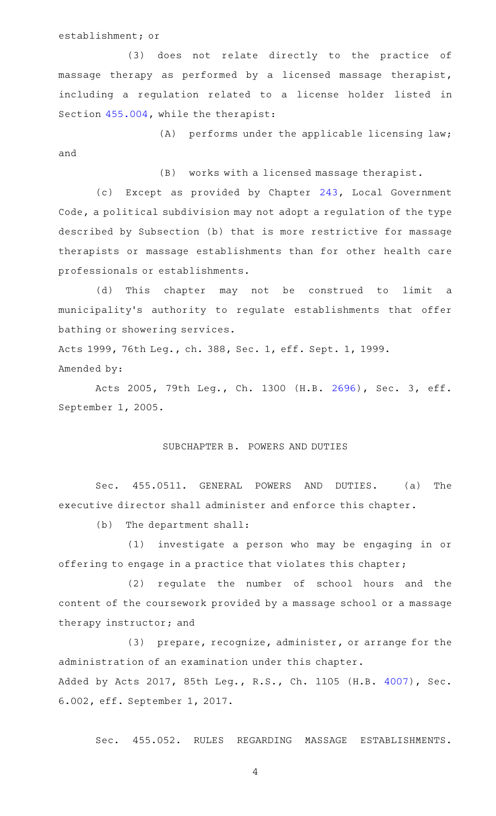establishment; or

(3) does not relate directly to the practice of massage therapy as performed by a licensed massage therapist, including a regulation related to a license holder listed in Section [455.004,](http://www.statutes.legis.state.tx.us/GetStatute.aspx?Code=OC&Value=455.004) while the therapist:

 $(A)$  performs under the applicable licensing law; and

(B) works with a licensed massage therapist.

(c) Except as provided by Chapter  $243$ , Local Government Code, a political subdivision may not adopt a regulation of the type described by Subsection (b) that is more restrictive for massage therapists or massage establishments than for other health care professionals or establishments.

(d) This chapter may not be construed to limit a municipality 's authority to regulate establishments that offer bathing or showering services.

Acts 1999, 76th Leg., ch. 388, Sec. 1, eff. Sept. 1, 1999. Amended by:

Acts 2005, 79th Leg., Ch. 1300 (H.B. [2696](http://www.legis.state.tx.us/tlodocs/79R/billtext/html/HB02696F.HTM)), Sec. 3, eff. September 1, 2005.

# SUBCHAPTER B. POWERS AND DUTIES

Sec. 455.0511. GENERAL POWERS AND DUTIES. (a) The executive director shall administer and enforce this chapter.

(b) The department shall:

(1) investigate a person who may be engaging in or offering to engage in a practice that violates this chapter;

(2) regulate the number of school hours and the content of the coursework provided by a massage school or a massage therapy instructor; and

(3) prepare, recognize, administer, or arrange for the administration of an examination under this chapter. Added by Acts 2017, 85th Leg., R.S., Ch. 1105 (H.B. [4007](http://www.legis.state.tx.us/tlodocs/85R/billtext/html/HB04007F.HTM)), Sec. 6.002, eff. September 1, 2017.

Sec. 455.052. RULES REGARDING MASSAGE ESTABLISHMENTS.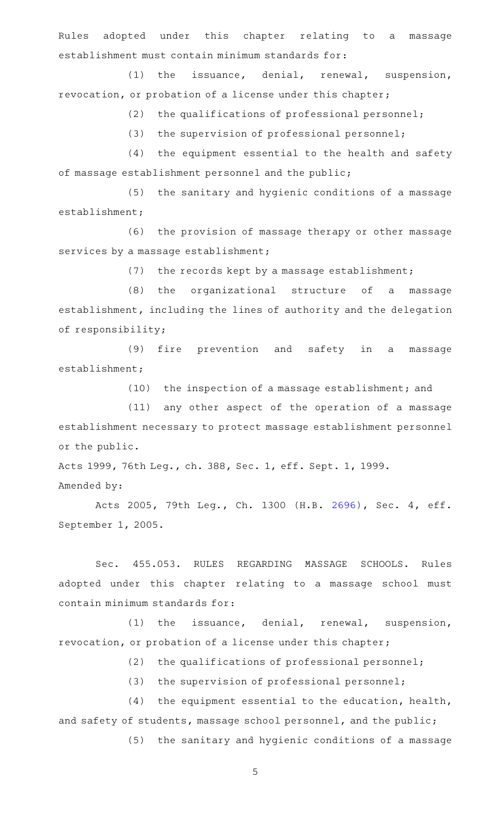Rules adopted under this chapter relating to a massage establishment must contain minimum standards for:

(1) the issuance, denial, renewal, suspension, revocation, or probation of a license under this chapter;

 $(2)$  the qualifications of professional personnel;

 $(3)$  the supervision of professional personnel;

 $(4)$  the equipment essential to the health and safety of massage establishment personnel and the public;

(5) the sanitary and hygienic conditions of a massage establishment;

(6) the provision of massage therapy or other massage services by a massage establishment;

 $(7)$  the records kept by a massage establishment;

(8) the organizational structure of a massage establishment, including the lines of authority and the delegation of responsibility;

(9) fire prevention and safety in a massage establishment;

(10) the inspection of a massage establishment; and

(11) any other aspect of the operation of a massage establishment necessary to protect massage establishment personnel or the public.

Acts 1999, 76th Leg., ch. 388, Sec. 1, eff. Sept. 1, 1999. Amended by:

Acts 2005, 79th Leg., Ch. 1300 (H.B. [2696](http://www.legis.state.tx.us/tlodocs/79R/billtext/html/HB02696F.HTM)), Sec. 4, eff. September 1, 2005.

Sec. 455.053. RULES REGARDING MASSAGE SCHOOLS. Rules adopted under this chapter relating to a massage school must contain minimum standards for:

 $(1)$  the issuance, denial, renewal, suspension, revocation, or probation of a license under this chapter;

 $(2)$  the qualifications of professional personnel;

(3) the supervision of professional personnel;

 $(4)$  the equipment essential to the education, health, and safety of students, massage school personnel, and the public;

(5) the sanitary and hygienic conditions of a massage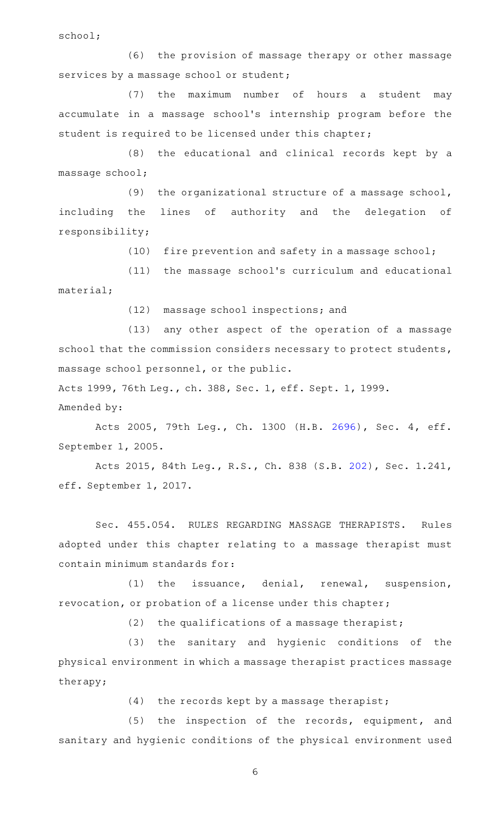school;

(6) the provision of massage therapy or other massage services by a massage school or student;

(7) the maximum number of hours a student may accumulate in a massage school 's internship program before the student is required to be licensed under this chapter;

(8) the educational and clinical records kept by a massage school;

(9) the organizational structure of a massage school, including the lines of authority and the delegation of responsibility;

(10) fire prevention and safety in a massage school;

(11) the massage school's curriculum and educational material;

(12) massage school inspections; and

(13) any other aspect of the operation of a massage school that the commission considers necessary to protect students, massage school personnel, or the public.

Acts 1999, 76th Leg., ch. 388, Sec. 1, eff. Sept. 1, 1999. Amended by:

Acts 2005, 79th Leg., Ch. 1300 (H.B. [2696](http://www.legis.state.tx.us/tlodocs/79R/billtext/html/HB02696F.HTM)), Sec. 4, eff. September 1, 2005.

Acts 2015, 84th Leg., R.S., Ch. 838 (S.B. [202](http://www.legis.state.tx.us/tlodocs/84R/billtext/html/SB00202F.HTM)), Sec. 1.241, eff. September 1, 2017.

Sec. 455.054. RULES REGARDING MASSAGE THERAPISTS. Rules adopted under this chapter relating to a massage therapist must contain minimum standards for:

(1) the issuance, denial, renewal, suspension, revocation, or probation of a license under this chapter;

 $(2)$  the qualifications of a massage therapist;

(3) the sanitary and hygienic conditions of the physical environment in which a massage therapist practices massage therapy;

 $(4)$  the records kept by a massage therapist;

(5) the inspection of the records, equipment, and sanitary and hygienic conditions of the physical environment used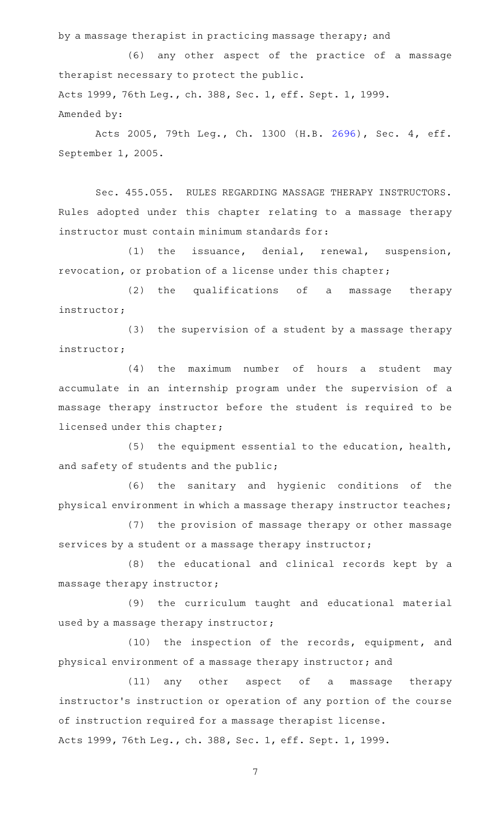by a massage therapist in practicing massage therapy; and

(6) any other aspect of the practice of a massage therapist necessary to protect the public. Acts 1999, 76th Leg., ch. 388, Sec. 1, eff. Sept. 1, 1999. Amended by:

Acts 2005, 79th Leg., Ch. 1300 (H.B. [2696](http://www.legis.state.tx.us/tlodocs/79R/billtext/html/HB02696F.HTM)), Sec. 4, eff. September 1, 2005.

Sec. 455.055. RULES REGARDING MASSAGE THERAPY INSTRUCTORS. Rules adopted under this chapter relating to a massage therapy instructor must contain minimum standards for:

(1) the issuance, denial, renewal, suspension, revocation, or probation of a license under this chapter;

(2) the qualifications of a massage therapy instructor;

 $(3)$  the supervision of a student by a massage therapy instructor;

 $(4)$  the maximum number of hours a student may accumulate in an internship program under the supervision of a massage therapy instructor before the student is required to be licensed under this chapter;

 $(5)$  the equipment essential to the education, health, and safety of students and the public;

(6) the sanitary and hygienic conditions of the physical environment in which a massage therapy instructor teaches;

(7) the provision of massage therapy or other massage services by a student or a massage therapy instructor;

(8) the educational and clinical records kept by a massage therapy instructor;

(9) the curriculum taught and educational material used by a massage therapy instructor;

(10) the inspection of the records, equipment, and physical environment of a massage therapy instructor; and

(11) any other aspect of a massage therapy instructor 's instruction or operation of any portion of the course of instruction required for a massage therapist license. Acts 1999, 76th Leg., ch. 388, Sec. 1, eff. Sept. 1, 1999.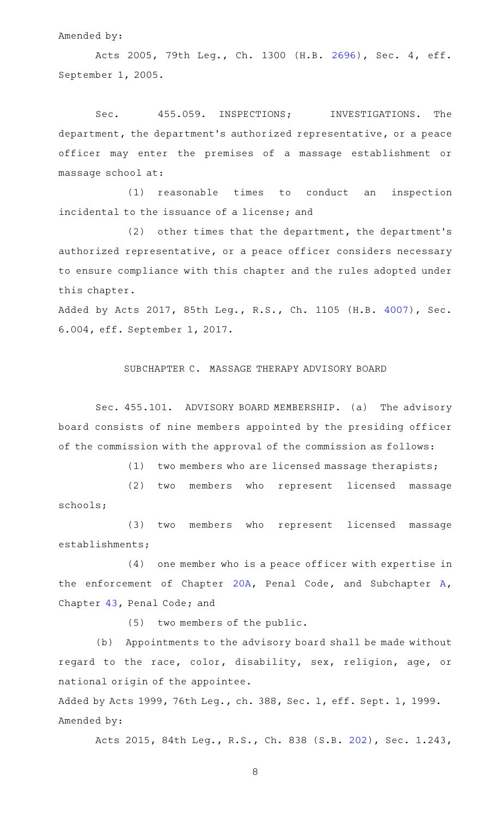#### Amended by:

Acts 2005, 79th Leg., Ch. 1300 (H.B. [2696](http://www.legis.state.tx.us/tlodocs/79R/billtext/html/HB02696F.HTM)), Sec. 4, eff. September 1, 2005.

Sec. 455.059. INSPECTIONS; INVESTIGATIONS. The department, the department 's authorized representative, or a peace officer may enter the premises of a massage establishment or massage school at:

(1) reasonable times to conduct an inspection incidental to the issuance of a license; and

 $(2)$  other times that the department, the department's authorized representative, or a peace officer considers necessary to ensure compliance with this chapter and the rules adopted under this chapter.

Added by Acts 2017, 85th Leg., R.S., Ch. 1105 (H.B. [4007](http://www.legis.state.tx.us/tlodocs/85R/billtext/html/HB04007F.HTM)), Sec. 6.004, eff. September 1, 2017.

#### SUBCHAPTER C. MASSAGE THERAPY ADVISORY BOARD

Sec. 455.101. ADVISORY BOARD MEMBERSHIP. (a) The advisory board consists of nine members appointed by the presiding officer of the commission with the approval of the commission as follows:

(1) two members who are licensed massage therapists;

(2) two members who represent licensed massage schools;

(3) two members who represent licensed massage establishments;

(4) one member who is a peace officer with expertise in the enforcement of Chapter [20A,](http://www.statutes.legis.state.tx.us/GetStatute.aspx?Code=PE&Value=20A) Penal Code, and Subchapter [A](http://www.statutes.legis.state.tx.us/GetStatute.aspx?Code=PE&Value=43.01), Chapter [43,](http://www.statutes.legis.state.tx.us/GetStatute.aspx?Code=PE&Value=43) Penal Code; and

 $(5)$  two members of the public.

(b) Appointments to the advisory board shall be made without regard to the race, color, disability, sex, religion, age, or national origin of the appointee.

Added by Acts 1999, 76th Leg., ch. 388, Sec. 1, eff. Sept. 1, 1999. Amended by:

Acts 2015, 84th Leg., R.S., Ch. 838 (S.B. [202](http://www.legis.state.tx.us/tlodocs/84R/billtext/html/SB00202F.HTM)), Sec. 1.243,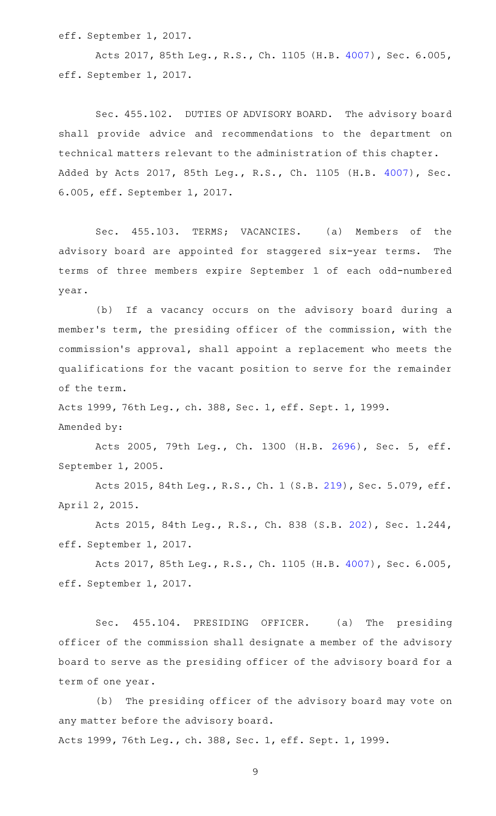eff. September 1, 2017.

Acts 2017, 85th Leg., R.S., Ch. 1105 (H.B. [4007](http://www.legis.state.tx.us/tlodocs/85R/billtext/html/HB04007F.HTM)), Sec. 6.005, eff. September 1, 2017.

Sec. 455.102. DUTIES OF ADVISORY BOARD. The advisory board shall provide advice and recommendations to the department on technical matters relevant to the administration of this chapter. Added by Acts 2017, 85th Leg., R.S., Ch. 1105 (H.B. [4007](http://www.legis.state.tx.us/tlodocs/85R/billtext/html/HB04007F.HTM)), Sec. 6.005, eff. September 1, 2017.

Sec. 455.103. TERMS; VACANCIES. (a) Members of the advisory board are appointed for staggered six-year terms. The terms of three members expire September 1 of each odd-numbered year.

(b) If a vacancy occurs on the advisory board during a member 's term, the presiding officer of the commission, with the commission 's approval, shall appoint a replacement who meets the qualifications for the vacant position to serve for the remainder of the term.

Acts 1999, 76th Leg., ch. 388, Sec. 1, eff. Sept. 1, 1999.

Amended by:

Acts 2005, 79th Leg., Ch. 1300 (H.B. [2696](http://www.legis.state.tx.us/tlodocs/79R/billtext/html/HB02696F.HTM)), Sec. 5, eff. September 1, 2005.

Acts 2015, 84th Leg., R.S., Ch. 1 (S.B. [219](http://www.legis.state.tx.us/tlodocs/84R/billtext/html/SB00219F.HTM)), Sec. 5.079, eff. April 2, 2015.

Acts 2015, 84th Leg., R.S., Ch. 838 (S.B. [202](http://www.legis.state.tx.us/tlodocs/84R/billtext/html/SB00202F.HTM)), Sec. 1.244, eff. September 1, 2017.

Acts 2017, 85th Leg., R.S., Ch. 1105 (H.B. [4007](http://www.legis.state.tx.us/tlodocs/85R/billtext/html/HB04007F.HTM)), Sec. 6.005, eff. September 1, 2017.

Sec. 455.104. PRESIDING OFFICER. (a) The presiding officer of the commission shall designate a member of the advisory board to serve as the presiding officer of the advisory board for a term of one year.

(b) The presiding officer of the advisory board may vote on any matter before the advisory board.

Acts 1999, 76th Leg., ch. 388, Sec. 1, eff. Sept. 1, 1999.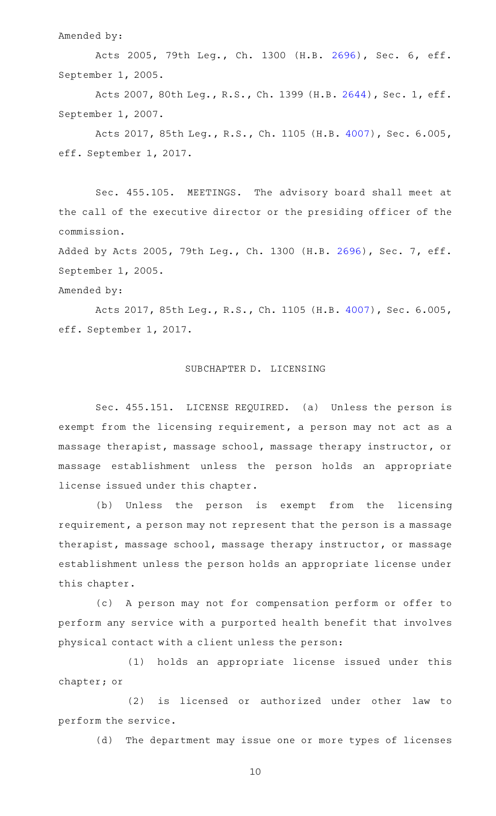Amended by:

Acts 2005, 79th Leg., Ch. 1300 (H.B. [2696](http://www.legis.state.tx.us/tlodocs/79R/billtext/html/HB02696F.HTM)), Sec. 6, eff. September 1, 2005.

Acts 2007, 80th Leg., R.S., Ch. 1399 (H.B. [2644](http://www.legis.state.tx.us/tlodocs/80R/billtext/html/HB02644F.HTM)), Sec. 1, eff. September 1, 2007.

Acts 2017, 85th Leg., R.S., Ch. 1105 (H.B. [4007](http://www.legis.state.tx.us/tlodocs/85R/billtext/html/HB04007F.HTM)), Sec. 6.005, eff. September 1, 2017.

Sec. 455.105. MEETINGS. The advisory board shall meet at the call of the executive director or the presiding officer of the commission.

Added by Acts 2005, 79th Leg., Ch. 1300 (H.B. [2696\)](http://www.legis.state.tx.us/tlodocs/79R/billtext/html/HB02696F.HTM), Sec. 7, eff. September 1, 2005.

Amended by:

Acts 2017, 85th Leg., R.S., Ch. 1105 (H.B. [4007](http://www.legis.state.tx.us/tlodocs/85R/billtext/html/HB04007F.HTM)), Sec. 6.005, eff. September 1, 2017.

# SUBCHAPTER D. LICENSING

Sec. 455.151. LICENSE REQUIRED. (a) Unless the person is exempt from the licensing requirement, a person may not act as a massage therapist, massage school, massage therapy instructor, or massage establishment unless the person holds an appropriate license issued under this chapter.

(b) Unless the person is exempt from the licensing requirement, a person may not represent that the person is a massage therapist, massage school, massage therapy instructor, or massage establishment unless the person holds an appropriate license under this chapter.

(c)AAA person may not for compensation perform or offer to perform any service with a purported health benefit that involves physical contact with a client unless the person:

(1) holds an appropriate license issued under this chapter; or

(2) is licensed or authorized under other law to perform the service.

(d) The department may issue one or more types of licenses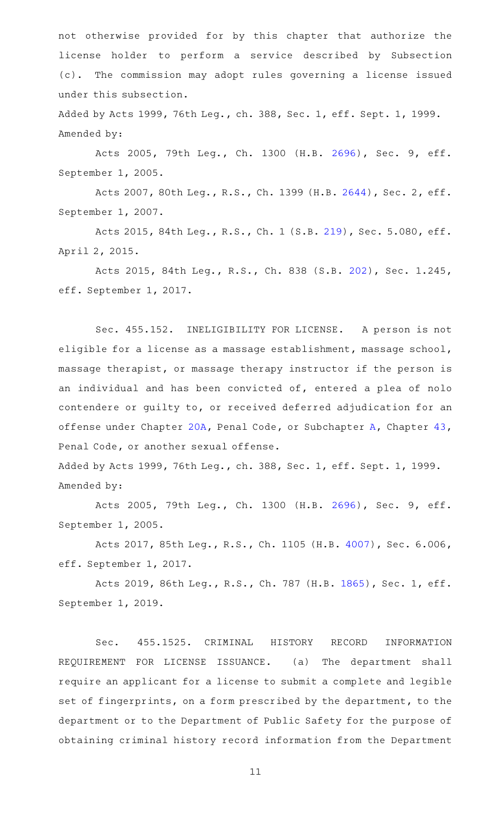not otherwise provided for by this chapter that authorize the license holder to perform a service described by Subsection (c). The commission may adopt rules governing a license issued under this subsection.

Added by Acts 1999, 76th Leg., ch. 388, Sec. 1, eff. Sept. 1, 1999. Amended by:

Acts 2005, 79th Leg., Ch. 1300 (H.B. [2696](http://www.legis.state.tx.us/tlodocs/79R/billtext/html/HB02696F.HTM)), Sec. 9, eff. September 1, 2005.

Acts 2007, 80th Leg., R.S., Ch. 1399 (H.B. [2644](http://www.legis.state.tx.us/tlodocs/80R/billtext/html/HB02644F.HTM)), Sec. 2, eff. September 1, 2007.

Acts 2015, 84th Leg., R.S., Ch. 1 (S.B. [219](http://www.legis.state.tx.us/tlodocs/84R/billtext/html/SB00219F.HTM)), Sec. 5.080, eff. April 2, 2015.

Acts 2015, 84th Leg., R.S., Ch. 838 (S.B. [202](http://www.legis.state.tx.us/tlodocs/84R/billtext/html/SB00202F.HTM)), Sec. 1.245, eff. September 1, 2017.

Sec. 455.152. INELIGIBILITY FOR LICENSE. A person is not eligible for a license as a massage establishment, massage school, massage therapist, or massage therapy instructor if the person is an individual and has been convicted of, entered a plea of nolo contendere or guilty to, or received deferred adjudication for an offense under Chapter [20A,](http://www.statutes.legis.state.tx.us/GetStatute.aspx?Code=PE&Value=20A) Penal Code, or Subchapter [A,](http://www.statutes.legis.state.tx.us/GetStatute.aspx?Code=PE&Value=43.01) Chapter [43](http://www.statutes.legis.state.tx.us/GetStatute.aspx?Code=PE&Value=43), Penal Code, or another sexual offense.

Added by Acts 1999, 76th Leg., ch. 388, Sec. 1, eff. Sept. 1, 1999. Amended by:

Acts 2005, 79th Leg., Ch. 1300 (H.B. [2696](http://www.legis.state.tx.us/tlodocs/79R/billtext/html/HB02696F.HTM)), Sec. 9, eff. September 1, 2005.

Acts 2017, 85th Leg., R.S., Ch. 1105 (H.B. [4007](http://www.legis.state.tx.us/tlodocs/85R/billtext/html/HB04007F.HTM)), Sec. 6.006, eff. September 1, 2017.

Acts 2019, 86th Leg., R.S., Ch. 787 (H.B. [1865](http://www.legis.state.tx.us/tlodocs/86R/billtext/html/HB01865F.HTM)), Sec. 1, eff. September 1, 2019.

Sec. 455.1525. CRIMINAL HISTORY RECORD INFORMATION REQUIREMENT FOR LICENSE ISSUANCE. (a) The department shall require an applicant for a license to submit a complete and legible set of fingerprints, on a form prescribed by the department, to the department or to the Department of Public Safety for the purpose of obtaining criminal history record information from the Department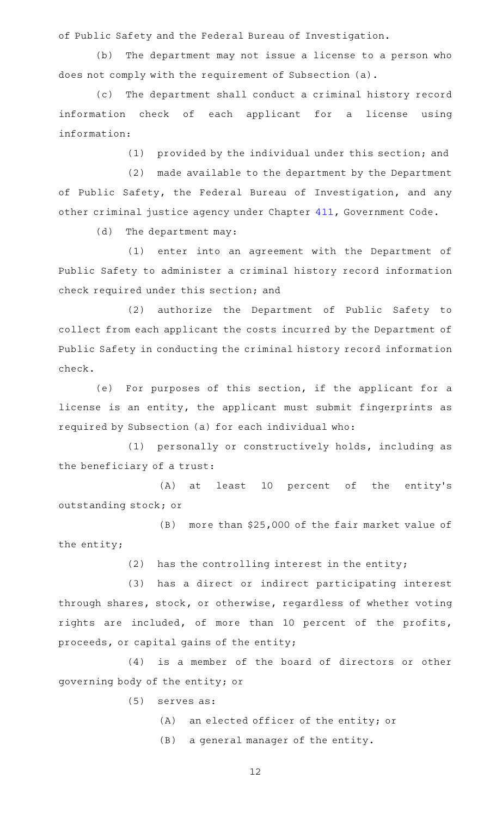of Public Safety and the Federal Bureau of Investigation.

(b) The department may not issue a license to a person who does not comply with the requirement of Subsection (a).

The department shall conduct a criminal history record information check of each applicant for a license using information:

(1) provided by the individual under this section; and

(2) made available to the department by the Department of Public Safety, the Federal Bureau of Investigation, and any other criminal justice agency under Chapter [411,](http://www.statutes.legis.state.tx.us/GetStatute.aspx?Code=GV&Value=411) Government Code.

(d) The department may:

(1) enter into an agreement with the Department of Public Safety to administer a criminal history record information check required under this section; and

(2) authorize the Department of Public Safety to collect from each applicant the costs incurred by the Department of Public Safety in conducting the criminal history record information check.

(e) For purposes of this section, if the applicant for a license is an entity, the applicant must submit fingerprints as required by Subsection (a) for each individual who:

(1) personally or constructively holds, including as the beneficiary of a trust:

(A) at least 10 percent of the entity's outstanding stock; or

 $(B)$  more than \$25,000 of the fair market value of the entity;

 $(2)$  has the controlling interest in the entity;

(3) has a direct or indirect participating interest through shares, stock, or otherwise, regardless of whether voting rights are included, of more than 10 percent of the profits, proceeds, or capital gains of the entity;

(4) is a member of the board of directors or other governing body of the entity; or

 $(5)$  serves as:

- (A) an elected officer of the entity; or
- (B) a general manager of the entity.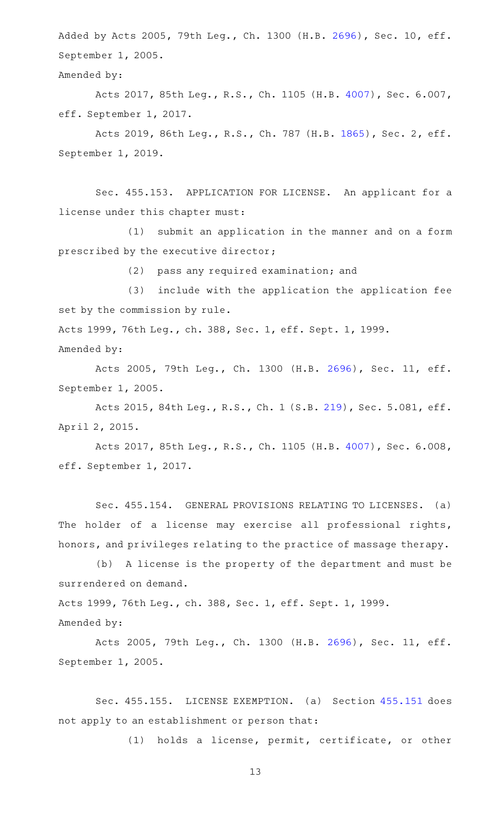Added by Acts 2005, 79th Leg., Ch. 1300 (H.B. [2696](http://www.legis.state.tx.us/tlodocs/79R/billtext/html/HB02696F.HTM)), Sec. 10, eff. September 1, 2005.

Amended by:

Acts 2017, 85th Leg., R.S., Ch. 1105 (H.B. [4007](http://www.legis.state.tx.us/tlodocs/85R/billtext/html/HB04007F.HTM)), Sec. 6.007, eff. September 1, 2017.

Acts 2019, 86th Leg., R.S., Ch. 787 (H.B. [1865](http://www.legis.state.tx.us/tlodocs/86R/billtext/html/HB01865F.HTM)), Sec. 2, eff. September 1, 2019.

Sec. 455.153. APPLICATION FOR LICENSE. An applicant for a license under this chapter must:

(1) submit an application in the manner and on a form prescribed by the executive director;

(2) pass any required examination; and

(3) include with the application the application fee set by the commission by rule.

Acts 1999, 76th Leg., ch. 388, Sec. 1, eff. Sept. 1, 1999. Amended by:

Acts 2005, 79th Leg., Ch. 1300 (H.B. [2696](http://www.legis.state.tx.us/tlodocs/79R/billtext/html/HB02696F.HTM)), Sec. 11, eff. September 1, 2005.

Acts 2015, 84th Leg., R.S., Ch. 1 (S.B. [219](http://www.legis.state.tx.us/tlodocs/84R/billtext/html/SB00219F.HTM)), Sec. 5.081, eff. April 2, 2015.

Acts 2017, 85th Leg., R.S., Ch. 1105 (H.B. [4007](http://www.legis.state.tx.us/tlodocs/85R/billtext/html/HB04007F.HTM)), Sec. 6.008, eff. September 1, 2017.

Sec. 455.154. GENERAL PROVISIONS RELATING TO LICENSES. (a) The holder of a license may exercise all professional rights, honors, and privileges relating to the practice of massage therapy.

(b) A license is the property of the department and must be surrendered on demand.

Acts 1999, 76th Leg., ch. 388, Sec. 1, eff. Sept. 1, 1999. Amended by:

Acts 2005, 79th Leg., Ch. 1300 (H.B. [2696](http://www.legis.state.tx.us/tlodocs/79R/billtext/html/HB02696F.HTM)), Sec. 11, eff. September 1, 2005.

Sec. 455.155. LICENSE EXEMPTION. (a) Section [455.151](http://www.statutes.legis.state.tx.us/GetStatute.aspx?Code=OC&Value=455.151) does not apply to an establishment or person that:

(1) holds a license, permit, certificate, or other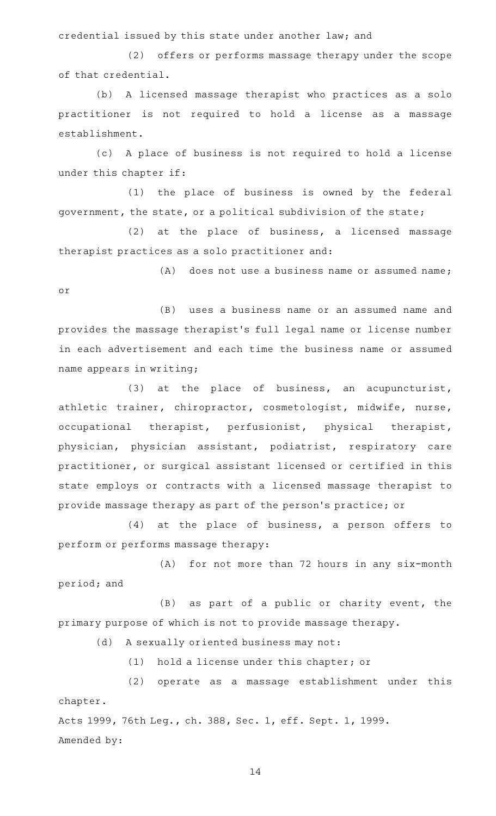credential issued by this state under another law; and

(2) offers or performs massage therapy under the scope of that credential.

(b) A licensed massage therapist who practices as a solo practitioner is not required to hold a license as a massage establishment.

(c)AAA place of business is not required to hold a license under this chapter if:

(1) the place of business is owned by the federal government, the state, or a political subdivision of the state;

 $(2)$  at the place of business, a licensed massage therapist practices as a solo practitioner and:

 $(A)$  does not use a business name or assumed name; or

(B) uses a business name or an assumed name and provides the massage therapist 's full legal name or license number in each advertisement and each time the business name or assumed name appears in writing;

 $(3)$  at the place of business, an acupuncturist, athletic trainer, chiropractor, cosmetologist, midwife, nurse, occupational therapist, perfusionist, physical therapist, physician, physician assistant, podiatrist, respiratory care practitioner, or surgical assistant licensed or certified in this state employs or contracts with a licensed massage therapist to provide massage therapy as part of the person 's practice; or

 $(4)$  at the place of business, a person offers to perform or performs massage therapy:

(A) for not more than 72 hours in any six-month period; and

 $(B)$  as part of a public or charity event, the primary purpose of which is not to provide massage therapy.

(d) A sexually oriented business may not:

(1) hold a license under this chapter; or

(2) operate as a massage establishment under this chapter.

Acts 1999, 76th Leg., ch. 388, Sec. 1, eff. Sept. 1, 1999. Amended by: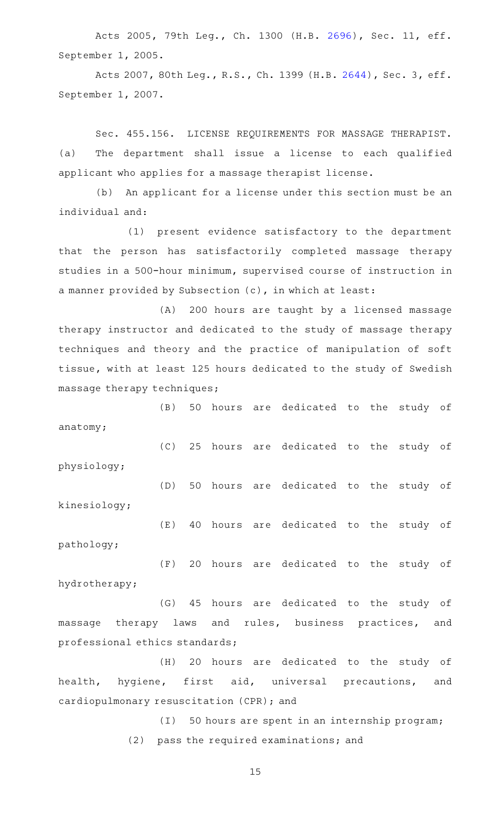Acts 2005, 79th Leg., Ch. 1300 (H.B. [2696](http://www.legis.state.tx.us/tlodocs/79R/billtext/html/HB02696F.HTM)), Sec. 11, eff. September 1, 2005.

Acts 2007, 80th Leg., R.S., Ch. 1399 (H.B. [2644](http://www.legis.state.tx.us/tlodocs/80R/billtext/html/HB02644F.HTM)), Sec. 3, eff. September 1, 2007.

Sec. 455.156. LICENSE REQUIREMENTS FOR MASSAGE THERAPIST. (a) The department shall issue a license to each qualified applicant who applies for a massage therapist license.

(b) An applicant for a license under this section must be an individual and:

(1) present evidence satisfactory to the department that the person has satisfactorily completed massage therapy studies in a 500-hour minimum, supervised course of instruction in a manner provided by Subsection (c), in which at least:

(A) 200 hours are taught by a licensed massage therapy instructor and dedicated to the study of massage therapy techniques and theory and the practice of manipulation of soft tissue, with at least 125 hours dedicated to the study of Swedish massage therapy techniques;

(B) 50 hours are dedicated to the study of anatomy;

(C) 25 hours are dedicated to the study of physiology;

(D) 50 hours are dedicated to the study of kinesiology; (E) 40 hours are dedicated to the study of

pathology;

(F) 20 hours are dedicated to the study of hydrotherapy;

(G) 45 hours are dedicated to the study of massage therapy laws and rules, business practices, and professional ethics standards;

(H) 20 hours are dedicated to the study of health, hygiene, first aid, universal precautions, and cardiopulmonary resuscitation (CPR); and

> (I) 50 hours are spent in an internship program; (2) pass the required examinations; and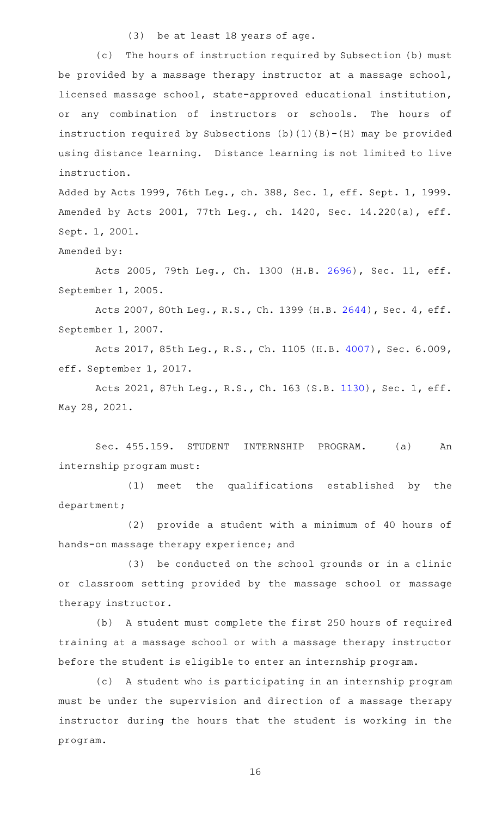(3) be at least 18 years of age.

(c) The hours of instruction required by Subsection (b) must be provided by a massage therapy instructor at a massage school, licensed massage school, state-approved educational institution, or any combination of instructors or schools. The hours of instruction required by Subsections  $(b)(1)(B)-(H)$  may be provided using distance learning. Distance learning is not limited to live instruction.

Added by Acts 1999, 76th Leg., ch. 388, Sec. 1, eff. Sept. 1, 1999. Amended by Acts 2001, 77th Leg., ch. 1420, Sec. 14.220(a), eff. Sept. 1, 2001.

Amended by:

Acts 2005, 79th Leg., Ch. 1300 (H.B. [2696](http://www.legis.state.tx.us/tlodocs/79R/billtext/html/HB02696F.HTM)), Sec. 11, eff. September 1, 2005.

Acts 2007, 80th Leg., R.S., Ch. 1399 (H.B. [2644](http://www.legis.state.tx.us/tlodocs/80R/billtext/html/HB02644F.HTM)), Sec. 4, eff. September 1, 2007.

Acts 2017, 85th Leg., R.S., Ch. 1105 (H.B. [4007](http://www.legis.state.tx.us/tlodocs/85R/billtext/html/HB04007F.HTM)), Sec. 6.009, eff. September 1, 2017.

Acts 2021, 87th Leg., R.S., Ch. 163 (S.B. [1130](http://www.legis.state.tx.us/tlodocs/87R/billtext/html/SB01130F.HTM)), Sec. 1, eff. May 28, 2021.

Sec. 455.159. STUDENT INTERNSHIP PROGRAM. (a) An internship program must:

 $(1)$  meet the qualifications established by the department;

 $(2)$  provide a student with a minimum of 40 hours of hands-on massage therapy experience; and

(3) be conducted on the school grounds or in a clinic or classroom setting provided by the massage school or massage therapy instructor.

(b) A student must complete the first 250 hours of required training at a massage school or with a massage therapy instructor before the student is eligible to enter an internship program.

(c)AAA student who is participating in an internship program must be under the supervision and direction of a massage therapy instructor during the hours that the student is working in the program.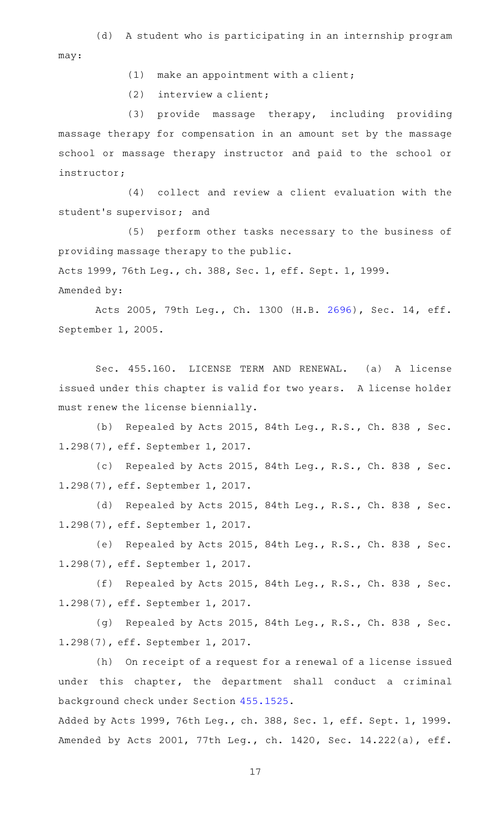(d) A student who is participating in an internship program may:

 $(1)$  make an appointment with a client;

 $(2)$  interview a client;

(3) provide massage therapy, including providing massage therapy for compensation in an amount set by the massage school or massage therapy instructor and paid to the school or instructor;

(4) collect and review a client evaluation with the student's supervisor; and

(5) perform other tasks necessary to the business of providing massage therapy to the public.

Acts 1999, 76th Leg., ch. 388, Sec. 1, eff. Sept. 1, 1999.

Amended by:

Acts 2005, 79th Leg., Ch. 1300 (H.B. [2696](http://www.legis.state.tx.us/tlodocs/79R/billtext/html/HB02696F.HTM)), Sec. 14, eff. September 1, 2005.

Sec. 455.160. LICENSE TERM AND RENEWAL. (a) A license issued under this chapter is valid for two years. A license holder must renew the license biennially.

(b) Repealed by Acts 2015, 84th Leg., R.S., Ch. 838, Sec. 1.298(7), eff. September 1, 2017.

(c) Repealed by Acts 2015, 84th Leg., R.S., Ch. 838 , Sec. 1.298(7), eff. September 1, 2017.

(d) Repealed by Acts 2015, 84th Leg., R.S., Ch. 838, Sec. 1.298(7), eff. September 1, 2017.

(e) Repealed by Acts 2015, 84th Leg., R.S., Ch. 838 , Sec. 1.298(7), eff. September 1, 2017.

(f) Repealed by Acts 2015, 84th Leg., R.S., Ch. 838 , Sec. 1.298(7), eff. September 1, 2017.

(g) Repealed by Acts 2015, 84th Leg., R.S., Ch. 838, Sec. 1.298(7), eff. September 1, 2017.

(h) On receipt of a request for a renewal of a license issued under this chapter, the department shall conduct a criminal background check under Section [455.1525](http://www.statutes.legis.state.tx.us/GetStatute.aspx?Code=OC&Value=455.1525).

Added by Acts 1999, 76th Leg., ch. 388, Sec. 1, eff. Sept. 1, 1999. Amended by Acts 2001, 77th Leg., ch. 1420, Sec. 14.222(a), eff.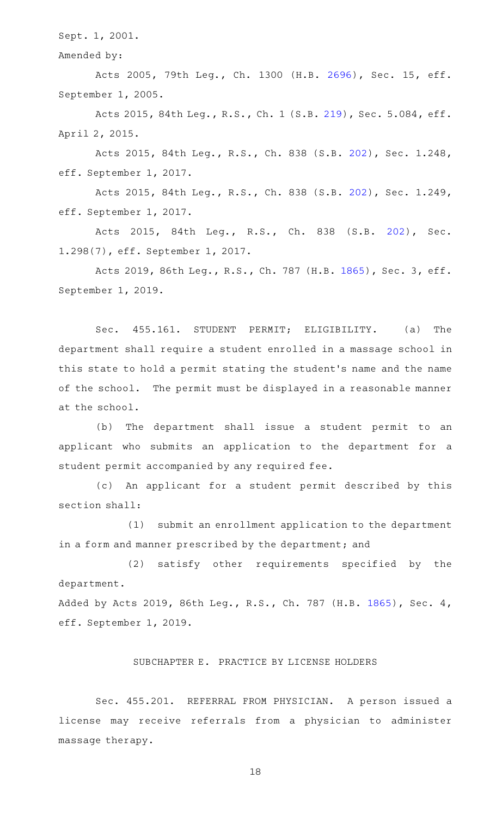Sept. 1, 2001.

Amended by:

Acts 2005, 79th Leg., Ch. 1300 (H.B. [2696](http://www.legis.state.tx.us/tlodocs/79R/billtext/html/HB02696F.HTM)), Sec. 15, eff. September 1, 2005.

Acts 2015, 84th Leg., R.S., Ch. 1 (S.B. [219](http://www.legis.state.tx.us/tlodocs/84R/billtext/html/SB00219F.HTM)), Sec. 5.084, eff. April 2, 2015.

Acts 2015, 84th Leg., R.S., Ch. 838 (S.B. [202](http://www.legis.state.tx.us/tlodocs/84R/billtext/html/SB00202F.HTM)), Sec. 1.248, eff. September 1, 2017.

Acts 2015, 84th Leg., R.S., Ch. 838 (S.B. [202](http://www.legis.state.tx.us/tlodocs/84R/billtext/html/SB00202F.HTM)), Sec. 1.249, eff. September 1, 2017.

Acts 2015, 84th Leg., R.S., Ch. 838 (S.B. [202\)](http://www.legis.state.tx.us/tlodocs/84R/billtext/html/SB00202F.HTM), Sec. 1.298(7), eff. September 1, 2017.

Acts 2019, 86th Leg., R.S., Ch. 787 (H.B. [1865](http://www.legis.state.tx.us/tlodocs/86R/billtext/html/HB01865F.HTM)), Sec. 3, eff. September 1, 2019.

Sec. 455.161. STUDENT PERMIT; ELIGIBILITY. (a) The department shall require a student enrolled in a massage school in this state to hold a permit stating the student 's name and the name of the school. The permit must be displayed in a reasonable manner at the school.

(b) The department shall issue a student permit to an applicant who submits an application to the department for a student permit accompanied by any required fee.

(c) An applicant for a student permit described by this section shall:

(1) submit an enrollment application to the department in a form and manner prescribed by the department; and

(2) satisfy other requirements specified by the department.

Added by Acts 2019, 86th Leg., R.S., Ch. 787 (H.B. [1865](http://www.legis.state.tx.us/tlodocs/86R/billtext/html/HB01865F.HTM)), Sec. 4, eff. September 1, 2019.

# SUBCHAPTER E. PRACTICE BY LICENSE HOLDERS

Sec. 455.201. REFERRAL FROM PHYSICIAN. A person issued a license may receive referrals from a physician to administer massage therapy.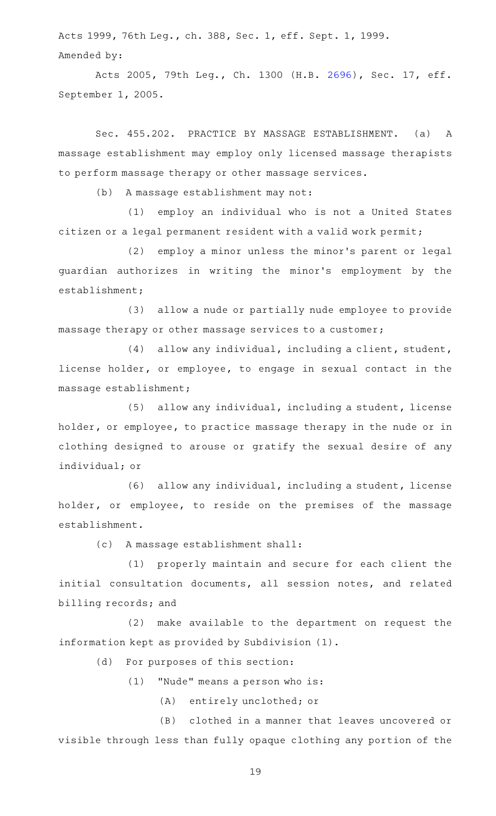Acts 1999, 76th Leg., ch. 388, Sec. 1, eff. Sept. 1, 1999. Amended by:

Acts 2005, 79th Leg., Ch. 1300 (H.B. [2696](http://www.legis.state.tx.us/tlodocs/79R/billtext/html/HB02696F.HTM)), Sec. 17, eff. September 1, 2005.

Sec. 455.202. PRACTICE BY MASSAGE ESTABLISHMENT. (a) A massage establishment may employ only licensed massage therapists to perform massage therapy or other massage services.

(b) A massage establishment may not:

(1) employ an individual who is not a United States citizen or a legal permanent resident with a valid work permit;

(2) employ a minor unless the minor's parent or legal guardian authorizes in writing the minor 's employment by the establishment;

(3) allow a nude or partially nude employee to provide massage therapy or other massage services to a customer;

(4) allow any individual, including a client, student, license holder, or employee, to engage in sexual contact in the massage establishment;

 $(5)$  allow any individual, including a student, license holder, or employee, to practice massage therapy in the nude or in clothing designed to arouse or gratify the sexual desire of any individual; or

(6) allow any individual, including a student, license holder, or employee, to reside on the premises of the massage establishment.

(c) A massage establishment shall:

(1) properly maintain and secure for each client the initial consultation documents, all session notes, and related billing records; and

 $(2)$  make available to the department on request the information kept as provided by Subdivision (1).

(d) For purposes of this section:

 $(1)$  "Nude" means a person who is:

(A) entirely unclothed; or

(B) clothed in a manner that leaves uncovered or visible through less than fully opaque clothing any portion of the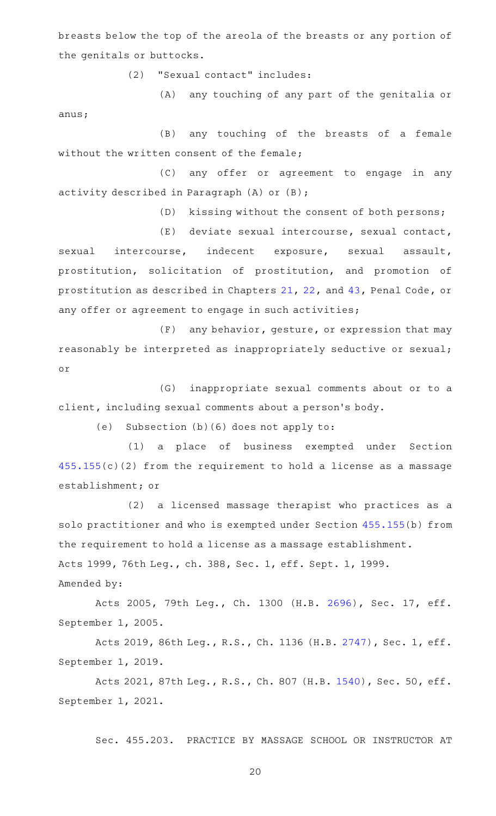breasts below the top of the areola of the breasts or any portion of the genitals or buttocks.

(2) "Sexual contact" includes:

anus;

(A) any touching of any part of the genitalia or

(B) any touching of the breasts of a female without the written consent of the female;

(C) any offer or agreement to engage in any activity described in Paragraph (A) or (B);

(D) kissing without the consent of both persons;

(E) deviate sexual intercourse, sexual contact,

sexual intercourse, indecent exposure, sexual assault, prostitution, solicitation of prostitution, and promotion of prostitution as described in Chapters [21,](http://www.statutes.legis.state.tx.us/GetStatute.aspx?Code=PE&Value=21) [22](http://www.statutes.legis.state.tx.us/GetStatute.aspx?Code=PE&Value=22), and [43,](http://www.statutes.legis.state.tx.us/GetStatute.aspx?Code=PE&Value=43) Penal Code, or any offer or agreement to engage in such activities;

 $(F)$  any behavior, gesture, or expression that may reasonably be interpreted as inappropriately seductive or sexual; or

(G) inappropriate sexual comments about or to a client, including sexual comments about a person 's body.

(e) Subsection  $(b)$  (6) does not apply to:

(1) a place of business exempted under Section [455.155\(](http://www.statutes.legis.state.tx.us/GetStatute.aspx?Code=OC&Value=455.155)c)(2) from the requirement to hold a license as a massage establishment; or

(2) a licensed massage therapist who practices as a solo practitioner and who is exempted under Section [455.155\(](http://www.statutes.legis.state.tx.us/GetStatute.aspx?Code=OC&Value=455.155)b) from the requirement to hold a license as a massage establishment. Acts 1999, 76th Leg., ch. 388, Sec. 1, eff. Sept. 1, 1999. Amended by:

Acts 2005, 79th Leg., Ch. 1300 (H.B. [2696](http://www.legis.state.tx.us/tlodocs/79R/billtext/html/HB02696F.HTM)), Sec. 17, eff. September 1, 2005.

Acts 2019, 86th Leg., R.S., Ch. 1136 (H.B. [2747](http://www.legis.state.tx.us/tlodocs/86R/billtext/html/HB02747F.HTM)), Sec. 1, eff. September 1, 2019.

Acts 2021, 87th Leg., R.S., Ch. 807 (H.B. [1540\)](http://www.legis.state.tx.us/tlodocs/87R/billtext/html/HB01540F.HTM), Sec. 50, eff. September 1, 2021.

Sec. 455.203. PRACTICE BY MASSAGE SCHOOL OR INSTRUCTOR AT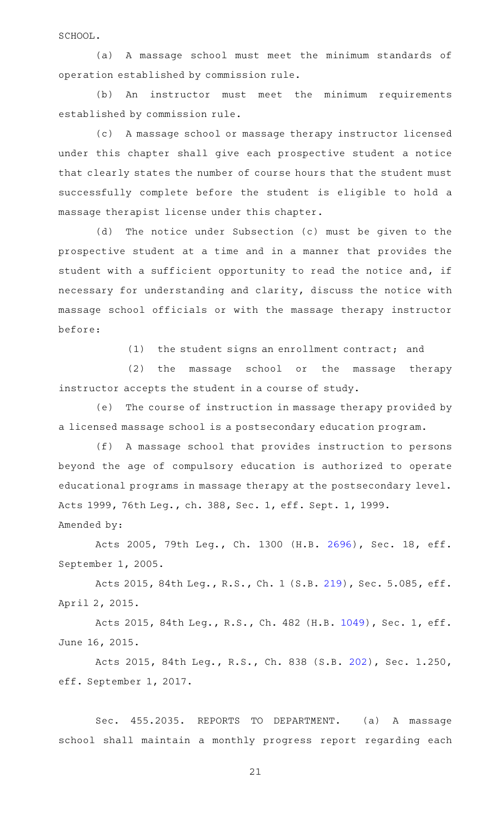SCHOOL.

(a) A massage school must meet the minimum standards of operation established by commission rule.

(b) An instructor must meet the minimum requirements established by commission rule.

(c) A massage school or massage therapy instructor licensed under this chapter shall give each prospective student a notice that clearly states the number of course hours that the student must successfully complete before the student is eligible to hold a massage therapist license under this chapter.

(d) The notice under Subsection (c) must be given to the prospective student at a time and in a manner that provides the student with a sufficient opportunity to read the notice and, if necessary for understanding and clarity, discuss the notice with massage school officials or with the massage therapy instructor before:

(1) the student signs an enrollment contract; and

(2) the massage school or the massage therapy instructor accepts the student in a course of study.

(e) The course of instruction in massage therapy provided by a licensed massage school is a postsecondary education program.

(f) A massage school that provides instruction to persons beyond the age of compulsory education is authorized to operate educational programs in massage therapy at the postsecondary level. Acts 1999, 76th Leg., ch. 388, Sec. 1, eff. Sept. 1, 1999.

Amended by:

Acts 2005, 79th Leg., Ch. 1300 (H.B. [2696](http://www.legis.state.tx.us/tlodocs/79R/billtext/html/HB02696F.HTM)), Sec. 18, eff. September 1, 2005.

Acts 2015, 84th Leg., R.S., Ch. 1 (S.B. [219](http://www.legis.state.tx.us/tlodocs/84R/billtext/html/SB00219F.HTM)), Sec. 5.085, eff. April 2, 2015.

Acts 2015, 84th Leg., R.S., Ch. 482 (H.B. [1049](http://www.legis.state.tx.us/tlodocs/84R/billtext/html/HB01049F.HTM)), Sec. 1, eff. June 16, 2015.

Acts 2015, 84th Leg., R.S., Ch. 838 (S.B. [202](http://www.legis.state.tx.us/tlodocs/84R/billtext/html/SB00202F.HTM)), Sec. 1.250, eff. September 1, 2017.

Sec. 455.2035. REPORTS TO DEPARTMENT. (a) A massage school shall maintain a monthly progress report regarding each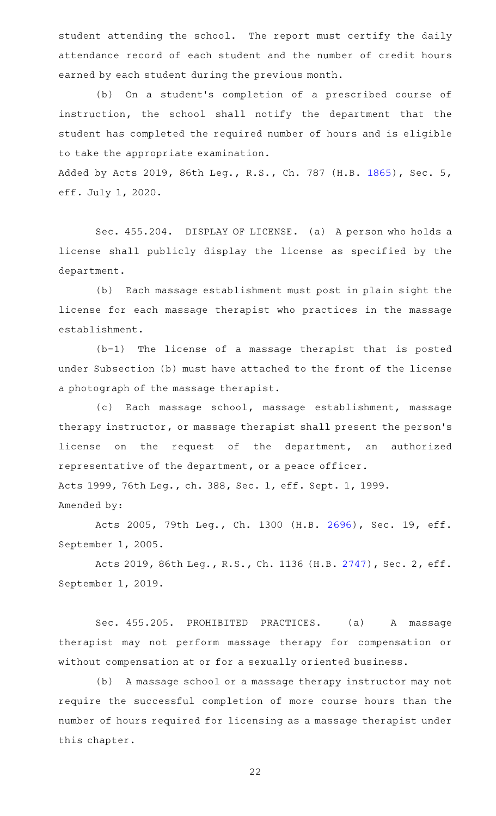student attending the school. The report must certify the daily attendance record of each student and the number of credit hours earned by each student during the previous month.

(b) On a student's completion of a prescribed course of instruction, the school shall notify the department that the student has completed the required number of hours and is eligible to take the appropriate examination.

Added by Acts 2019, 86th Leg., R.S., Ch. 787 (H.B. [1865](http://www.legis.state.tx.us/tlodocs/86R/billtext/html/HB01865F.HTM)), Sec. 5, eff. July 1, 2020.

Sec. 455.204. DISPLAY OF LICENSE. (a) A person who holds a license shall publicly display the license as specified by the department.

(b) Each massage establishment must post in plain sight the license for each massage therapist who practices in the massage establishment.

 $(b-1)$  The license of a massage therapist that is posted under Subsection (b) must have attached to the front of the license a photograph of the massage therapist.

(c) Each massage school, massage establishment, massage therapy instructor, or massage therapist shall present the person 's license on the request of the department, an authorized representative of the department, or a peace officer. Acts 1999, 76th Leg., ch. 388, Sec. 1, eff. Sept. 1, 1999.

Amended by:

Acts 2005, 79th Leg., Ch. 1300 (H.B. [2696](http://www.legis.state.tx.us/tlodocs/79R/billtext/html/HB02696F.HTM)), Sec. 19, eff. September 1, 2005.

Acts 2019, 86th Leg., R.S., Ch. 1136 (H.B. [2747](http://www.legis.state.tx.us/tlodocs/86R/billtext/html/HB02747F.HTM)), Sec. 2, eff. September 1, 2019.

Sec. 455.205. PROHIBITED PRACTICES. (a) A massage therapist may not perform massage therapy for compensation or without compensation at or for a sexually oriented business.

(b) A massage school or a massage therapy instructor may not require the successful completion of more course hours than the number of hours required for licensing as a massage therapist under this chapter.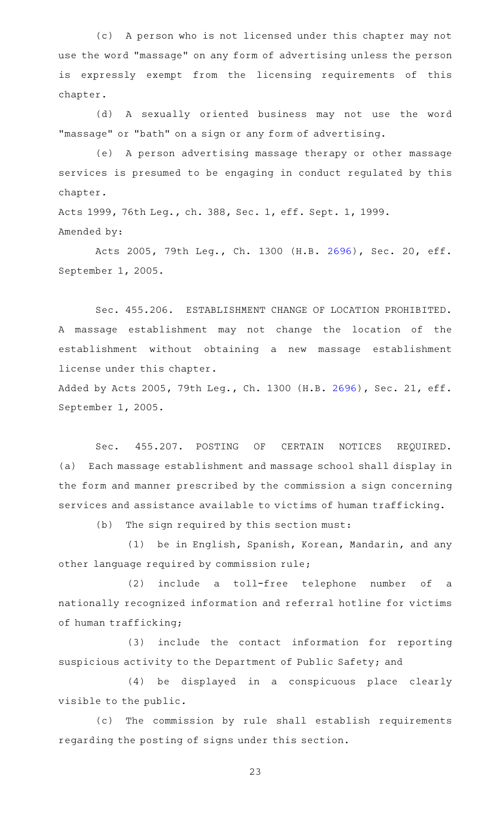(c) A person who is not licensed under this chapter may not use the word "massage" on any form of advertising unless the person is expressly exempt from the licensing requirements of this chapter.

(d) A sexually oriented business may not use the word "massage" or "bath" on a sign or any form of advertising.

(e) A person advertising massage therapy or other massage services is presumed to be engaging in conduct regulated by this chapter.

Acts 1999, 76th Leg., ch. 388, Sec. 1, eff. Sept. 1, 1999. Amended by:

Acts 2005, 79th Leg., Ch. 1300 (H.B. [2696](http://www.legis.state.tx.us/tlodocs/79R/billtext/html/HB02696F.HTM)), Sec. 20, eff. September 1, 2005.

Sec. 455.206. ESTABLISHMENT CHANGE OF LOCATION PROHIBITED. A massage establishment may not change the location of the establishment without obtaining a new massage establishment license under this chapter.

Added by Acts 2005, 79th Leg., Ch. 1300 (H.B. [2696](http://www.legis.state.tx.us/tlodocs/79R/billtext/html/HB02696F.HTM)), Sec. 21, eff. September 1, 2005.

Sec. 455.207. POSTING OF CERTAIN NOTICES REQUIRED. (a) Each massage establishment and massage school shall display in the form and manner prescribed by the commission a sign concerning services and assistance available to victims of human trafficking.

 $(b)$  The sign required by this section must:

(1) be in English, Spanish, Korean, Mandarin, and any other language required by commission rule;

 $(2)$  include a toll-free telephone number of a nationally recognized information and referral hotline for victims of human trafficking;

(3) include the contact information for reporting suspicious activity to the Department of Public Safety; and

(4) be displayed in a conspicuous place clearly visible to the public.

(c) The commission by rule shall establish requirements regarding the posting of signs under this section.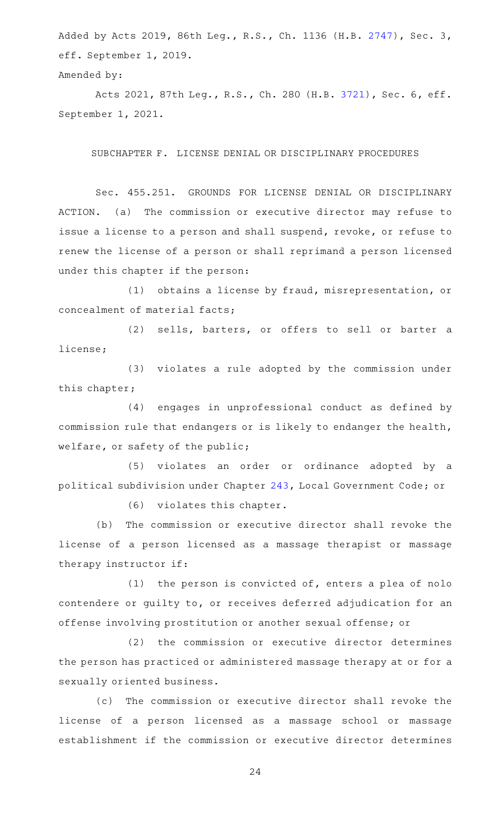Added by Acts 2019, 86th Leg., R.S., Ch. 1136 (H.B. [2747\)](http://www.legis.state.tx.us/tlodocs/86R/billtext/html/HB02747F.HTM), Sec. 3, eff. September 1, 2019.

```
Amended by:
```
Acts 2021, 87th Leg., R.S., Ch. 280 (H.B. [3721](http://www.legis.state.tx.us/tlodocs/87R/billtext/html/HB03721F.HTM)), Sec. 6, eff. September 1, 2021.

SUBCHAPTER F. LICENSE DENIAL OR DISCIPLINARY PROCEDURES

Sec. 455.251. GROUNDS FOR LICENSE DENIAL OR DISCIPLINARY ACTION. (a) The commission or executive director may refuse to issue a license to a person and shall suspend, revoke, or refuse to renew the license of a person or shall reprimand a person licensed under this chapter if the person:

(1) obtains a license by fraud, misrepresentation, or concealment of material facts;

(2) sells, barters, or offers to sell or barter a license;

(3) violates a rule adopted by the commission under this chapter;

(4) engages in unprofessional conduct as defined by commission rule that endangers or is likely to endanger the health, welfare, or safety of the public;

(5) violates an order or ordinance adopted by a political subdivision under Chapter [243](http://www.statutes.legis.state.tx.us/GetStatute.aspx?Code=LG&Value=243), Local Government Code; or

(6) violates this chapter.

(b) The commission or executive director shall revoke the license of a person licensed as a massage therapist or massage therapy instructor if:

(1) the person is convicted of, enters a plea of nolo contendere or guilty to, or receives deferred adjudication for an offense involving prostitution or another sexual offense; or

(2) the commission or executive director determines the person has practiced or administered massage therapy at or for a sexually oriented business.

(c) The commission or executive director shall revoke the license of a person licensed as a massage school or massage establishment if the commission or executive director determines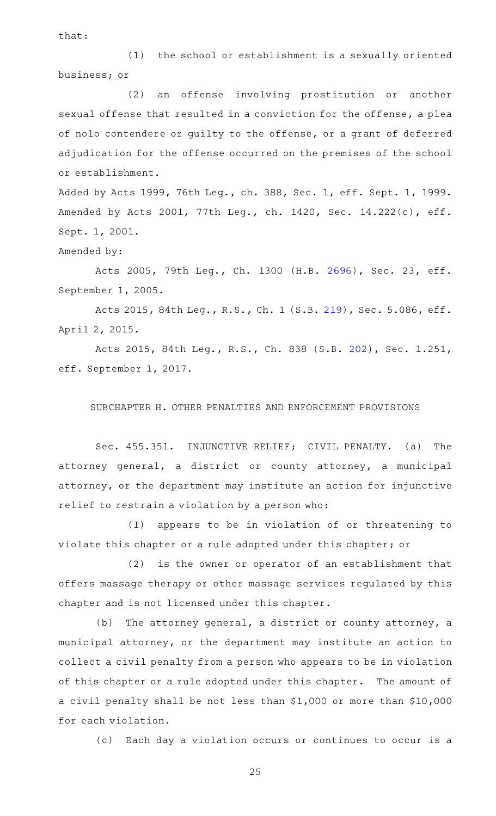that:

 $(1)$  the school or establishment is a sexually oriented business; or

(2) an offense involving prostitution or another sexual offense that resulted in a conviction for the offense, a plea of nolo contendere or guilty to the offense, or a grant of deferred adjudication for the offense occurred on the premises of the school or establishment.

Added by Acts 1999, 76th Leg., ch. 388, Sec. 1, eff. Sept. 1, 1999. Amended by Acts 2001, 77th Leg., ch. 1420, Sec. 14.222(c), eff. Sept. 1, 2001.

Amended by:

Acts 2005, 79th Leg., Ch. 1300 (H.B. [2696](http://www.legis.state.tx.us/tlodocs/79R/billtext/html/HB02696F.HTM)), Sec. 23, eff. September 1, 2005.

Acts 2015, 84th Leg., R.S., Ch. 1 (S.B. [219](http://www.legis.state.tx.us/tlodocs/84R/billtext/html/SB00219F.HTM)), Sec. 5.086, eff. April 2, 2015.

Acts 2015, 84th Leg., R.S., Ch. 838 (S.B. [202](http://www.legis.state.tx.us/tlodocs/84R/billtext/html/SB00202F.HTM)), Sec. 1.251, eff. September 1, 2017.

SUBCHAPTER H. OTHER PENALTIES AND ENFORCEMENT PROVISIONS

Sec. 455.351. INJUNCTIVE RELIEF; CIVIL PENALTY. (a) The attorney general, a district or county attorney, a municipal attorney, or the department may institute an action for injunctive relief to restrain a violation by a person who:

(1) appears to be in violation of or threatening to violate this chapter or a rule adopted under this chapter; or

(2) is the owner or operator of an establishment that offers massage therapy or other massage services regulated by this chapter and is not licensed under this chapter.

(b) The attorney general, a district or county attorney, a municipal attorney, or the department may institute an action to collect a civil penalty from a person who appears to be in violation of this chapter or a rule adopted under this chapter. The amount of a civil penalty shall be not less than \$1,000 or more than \$10,000 for each violation.

(c) Each day a violation occurs or continues to occur is a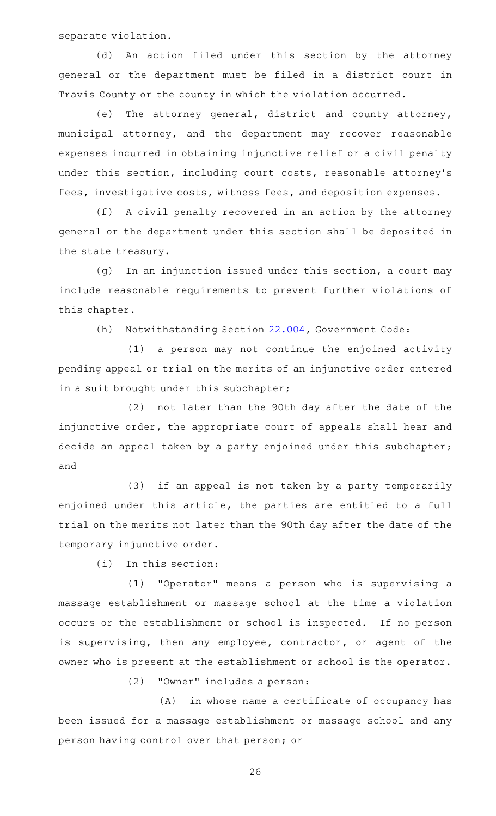separate violation.

(d) An action filed under this section by the attorney general or the department must be filed in a district court in Travis County or the county in which the violation occurred.

(e) The attorney general, district and county attorney, municipal attorney, and the department may recover reasonable expenses incurred in obtaining injunctive relief or a civil penalty under this section, including court costs, reasonable attorney's fees, investigative costs, witness fees, and deposition expenses.

(f) A civil penalty recovered in an action by the attorney general or the department under this section shall be deposited in the state treasury.

 $(g)$  In an injunction issued under this section, a court may include reasonable requirements to prevent further violations of this chapter.

(h) Notwithstanding Section [22.004,](http://www.statutes.legis.state.tx.us/GetStatute.aspx?Code=GV&Value=22.004) Government Code:

(1) a person may not continue the enjoined activity pending appeal or trial on the merits of an injunctive order entered in a suit brought under this subchapter;

(2) not later than the 90th day after the date of the injunctive order, the appropriate court of appeals shall hear and decide an appeal taken by a party enjoined under this subchapter; and

(3) if an appeal is not taken by a party temporarily enjoined under this article, the parties are entitled to a full trial on the merits not later than the 90th day after the date of the temporary injunctive order.

 $(i)$  In this section:

(1) "Operator" means a person who is supervising a massage establishment or massage school at the time a violation occurs or the establishment or school is inspected. If no person is supervising, then any employee, contractor, or agent of the owner who is present at the establishment or school is the operator.

(2) "Owner" includes a person:

 $(A)$  in whose name a certificate of occupancy has been issued for a massage establishment or massage school and any person having control over that person; or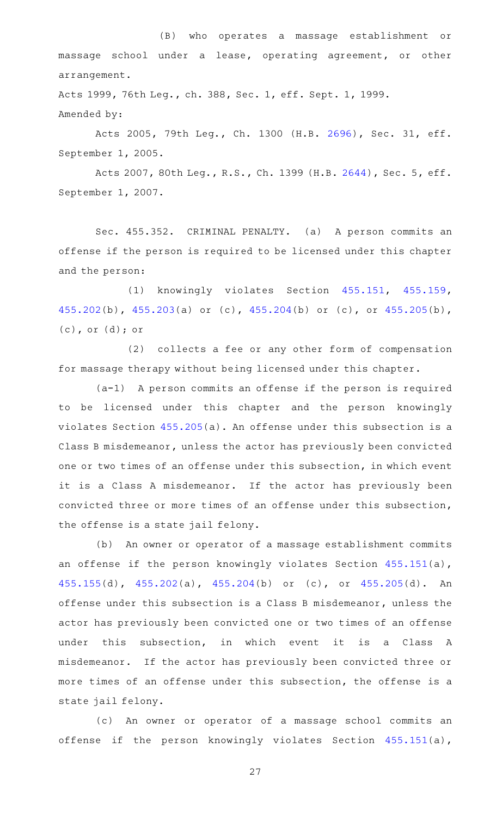(B) who operates a massage establishment or massage school under a lease, operating agreement, or other arrangement.

Acts 1999, 76th Leg., ch. 388, Sec. 1, eff. Sept. 1, 1999. Amended by:

Acts 2005, 79th Leg., Ch. 1300 (H.B. [2696](http://www.legis.state.tx.us/tlodocs/79R/billtext/html/HB02696F.HTM)), Sec. 31, eff. September 1, 2005.

Acts 2007, 80th Leg., R.S., Ch. 1399 (H.B. [2644](http://www.legis.state.tx.us/tlodocs/80R/billtext/html/HB02644F.HTM)), Sec. 5, eff. September 1, 2007.

Sec. 455.352. CRIMINAL PENALTY. (a) A person commits an offense if the person is required to be licensed under this chapter and the person:

(1) knowingly violates Section [455.151,](http://www.statutes.legis.state.tx.us/GetStatute.aspx?Code=OC&Value=455.151) [455.159](http://www.statutes.legis.state.tx.us/GetStatute.aspx?Code=OC&Value=455.159), [455.202\(](http://www.statutes.legis.state.tx.us/GetStatute.aspx?Code=OC&Value=455.202)b), [455.203\(](http://www.statutes.legis.state.tx.us/GetStatute.aspx?Code=OC&Value=455.203)a) or (c), [455.204](http://www.statutes.legis.state.tx.us/GetStatute.aspx?Code=OC&Value=455.204)(b) or (c), or [455.205\(](http://www.statutes.legis.state.tx.us/GetStatute.aspx?Code=OC&Value=455.205)b), (c), or (d); or

(2) collects a fee or any other form of compensation for massage therapy without being licensed under this chapter.

 $(a-1)$  A person commits an offense if the person is required to be licensed under this chapter and the person knowingly violates Section [455.205](http://www.statutes.legis.state.tx.us/GetStatute.aspx?Code=OC&Value=455.205)(a). An offense under this subsection is a Class B misdemeanor, unless the actor has previously been convicted one or two times of an offense under this subsection, in which event it is a Class A misdemeanor. If the actor has previously been convicted three or more times of an offense under this subsection, the offense is a state jail felony.

(b) An owner or operator of a massage establishment commits an offense if the person knowingly violates Section [455.151\(](http://www.statutes.legis.state.tx.us/GetStatute.aspx?Code=OC&Value=455.151)a), [455.155\(](http://www.statutes.legis.state.tx.us/GetStatute.aspx?Code=OC&Value=455.155)d), [455.202\(](http://www.statutes.legis.state.tx.us/GetStatute.aspx?Code=OC&Value=455.202)a), [455.204\(](http://www.statutes.legis.state.tx.us/GetStatute.aspx?Code=OC&Value=455.204)b) or (c), or [455.205\(](http://www.statutes.legis.state.tx.us/GetStatute.aspx?Code=OC&Value=455.205)d). An offense under this subsection is a Class B misdemeanor, unless the actor has previously been convicted one or two times of an offense under this subsection, in which event it is a Class A misdemeanor. If the actor has previously been convicted three or more times of an offense under this subsection, the offense is a state jail felony.

(c) An owner or operator of a massage school commits an offense if the person knowingly violates Section [455.151\(](http://www.statutes.legis.state.tx.us/GetStatute.aspx?Code=OC&Value=455.151)a),